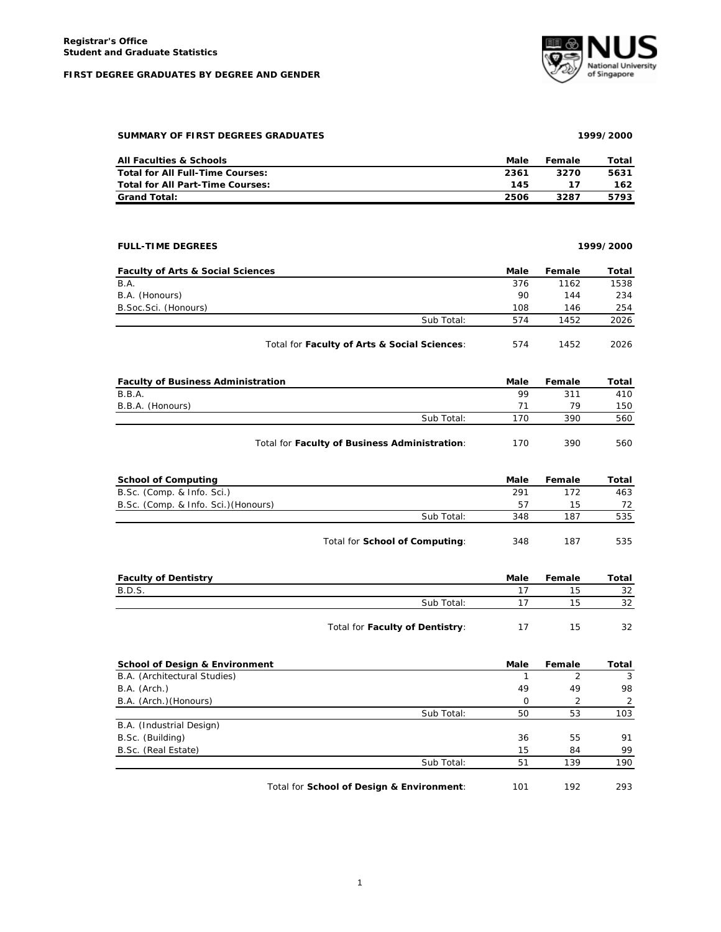## **FIRST DEGREE GRADUATES BY DEGREE AND GENDER**



**SUMMARY OF FIRST DEGREES GRADUATES 1999/2000**

|  | SUMMARY OF FIRST DEGREES GRADUATES |
|--|------------------------------------|
|  |                                    |

| <b>All Faculties &amp; Schools</b> | Male | Female | Total |
|------------------------------------|------|--------|-------|
| Total for All Full-Time Courses:   | 2361 | 3270   | 5631  |
| Total for All Part-Time Courses:   | 145  |        | 162   |
| <b>Grand Total:</b>                | 2506 | 3287   | 5793  |

| <b>FULL-TIME DEGREES</b>                             |           |        | 1999/2000 |
|------------------------------------------------------|-----------|--------|-----------|
| <b>Faculty of Arts &amp; Social Sciences</b>         | Male      | Female | Total     |
| B.A.                                                 | 376       | 1162   | 1538      |
| B.A. (Honours)                                       | 90        | 144    | 234       |
| B.Soc.Sci. (Honours)                                 | 108       | 146    | 254       |
| Sub Total:                                           | 574       | 1452   | 2026      |
| Total for Faculty of Arts & Social Sciences:         | 574       | 1452   | 2026      |
| <b>Faculty of Business Administration</b>            | Male      | Female | Total     |
| B.B.A.                                               | 99        | 311    | 410       |
| B.B.A. (Honours)                                     | 71        | 79     | 150       |
| Sub Total:                                           | 170       | 390    | 560       |
| Total for Faculty of Business Administration:        | 170       | 390    | 560       |
| <b>School of Computing</b>                           | Male      | Female | Total     |
| B.Sc. (Comp. & Info. Sci.)                           | 291       | 172    | 463       |
| B.Sc. (Comp. & Info. Sci.) (Honours)                 | 57        | 15     | 72        |
| Sub Total:                                           | 348       | 187    | 535       |
| Total for School of Computing:                       | 348       | 187    | 535       |
| <b>Faculty of Dentistry</b>                          | Male      | Female | Total     |
| <b>B.D.S.</b>                                        | 17        | 15     | 32        |
| Sub Total:                                           | 17        | 15     | 32        |
| Total for Faculty of Dentistry:                      | 17        | 15     | 32        |
| <b>School of Design &amp; Environment</b>            | Male      | Female | Total     |
|                                                      |           |        |           |
| B.A. (Architectural Studies)<br>$\sim$ $\sim$ $\sim$ | 1<br>i an | 2      | 3         |

| B.A. (Arch.)             |            | 49 | 49  | 98  |
|--------------------------|------------|----|-----|-----|
| B.A. (Arch.) (Honours)   |            |    |     |     |
|                          | Sub Total: | 50 | 53  | 103 |
| B.A. (Industrial Design) |            |    |     |     |
| B.Sc. (Building)         |            | 36 | 55  | 91  |
| B.Sc. (Real Estate)      |            | 15 | 84  | 99  |
|                          | Sub Total: | 51 | 139 | 190 |
|                          |            |    |     |     |

Total for **School of Design & Environment**: 101 192 293